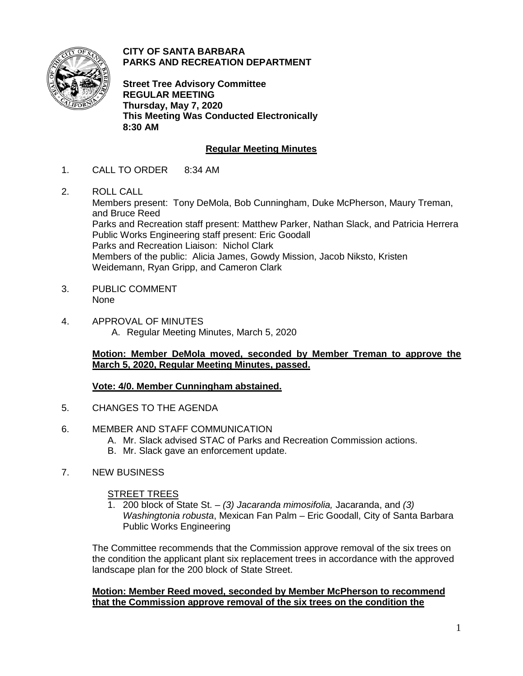

**CITY OF SANTA BARBARA PARKS AND RECREATION DEPARTMENT**

**Street Tree Advisory Committee REGULAR MEETING Thursday, May 7, 2020 This Meeting Was Conducted Electronically 8:30 AM**

# **Regular Meeting Minutes**

- 1. CALL TO ORDER 8:34 AM
- 2. ROLL CALL

Members present: Tony DeMola, Bob Cunningham, Duke McPherson, Maury Treman, and Bruce Reed Parks and Recreation staff present: Matthew Parker, Nathan Slack, and Patricia Herrera Public Works Engineering staff present: Eric Goodall Parks and Recreation Liaison: Nichol Clark Members of the public: Alicia James, Gowdy Mission, Jacob Niksto, Kristen Weidemann, Ryan Gripp, and Cameron Clark

- 3. PUBLIC COMMENT None
- 4. APPROVAL OF MINUTES A. Regular Meeting Minutes, March 5, 2020

## **Motion: Member DeMola moved, seconded by Member Treman to approve the March 5, 2020, Regular Meeting Minutes, passed.**

## **Vote: 4/0. Member Cunningham abstained.**

- 5. CHANGES TO THE AGENDA
- 6. MEMBER AND STAFF COMMUNICATION
	- A. Mr. Slack advised STAC of Parks and Recreation Commission actions.
	- B. Mr. Slack gave an enforcement update.
- 7. NEW BUSINESS

#### STREET TREES

1. 200 block of State St. – *(3) Jacaranda mimosifolia,* Jacaranda, and *(3) Washingtonia robusta*, Mexican Fan Palm – Eric Goodall, City of Santa Barbara Public Works Engineering

The Committee recommends that the Commission approve removal of the six trees on the condition the applicant plant six replacement trees in accordance with the approved landscape plan for the 200 block of State Street.

### **Motion: Member Reed moved, seconded by Member McPherson to recommend that the Commission approve removal of the six trees on the condition the**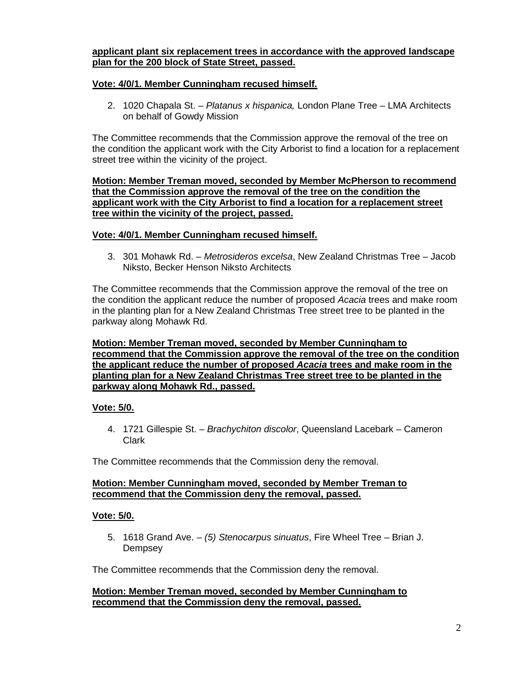### **applicant plant six replacement trees in accordance with the approved landscape plan for the 200 block of State Street, passed.**

## **Vote: 4/0/1. Member Cunningham recused himself.**

2. 1020 Chapala St. – *Platanus x hispanica,* London Plane Tree – LMA Architects on behalf of Gowdy Mission

The Committee recommends that the Commission approve the removal of the tree on the condition the applicant work with the City Arborist to find a location for a replacement street tree within the vicinity of the project.

**Motion: Member Treman moved, seconded by Member McPherson to recommend that the Commission approve the removal of the tree on the condition the applicant work with the City Arborist to find a location for a replacement street tree within the vicinity of the project, passed.** 

## **Vote: 4/0/1. Member Cunningham recused himself.**

3. 301 Mohawk Rd. – *Metrosideros excelsa*, New Zealand Christmas Tree – Jacob Niksto, Becker Henson Niksto Architects

The Committee recommends that the Commission approve the removal of the tree on the condition the applicant reduce the number of proposed *Acacia* trees and make room in the planting plan for a New Zealand Christmas Tree street tree to be planted in the parkway along Mohawk Rd.

**Motion: Member Treman moved, seconded by Member Cunningham to recommend that the Commission approve the removal of the tree on the condition the applicant reduce the number of proposed** *Acacia* **trees and make room in the planting plan for a New Zealand Christmas Tree street tree to be planted in the parkway along Mohawk Rd., passed.** 

# **Vote: 5/0.**

4. 1721 Gillespie St. – *Brachychiton discolor*, Queensland Lacebark – Cameron Clark

The Committee recommends that the Commission deny the removal.

### **Motion: Member Cunningham moved, seconded by Member Treman to recommend that the Commission deny the removal, passed.**

## **Vote: 5/0.**

5. 1618 Grand Ave. – *(5) Stenocarpus sinuatus*, Fire Wheel Tree – Brian J. **Dempsey** 

The Committee recommends that the Commission deny the removal.

### **Motion: Member Treman moved, seconded by Member Cunningham to recommend that the Commission deny the removal, passed.**